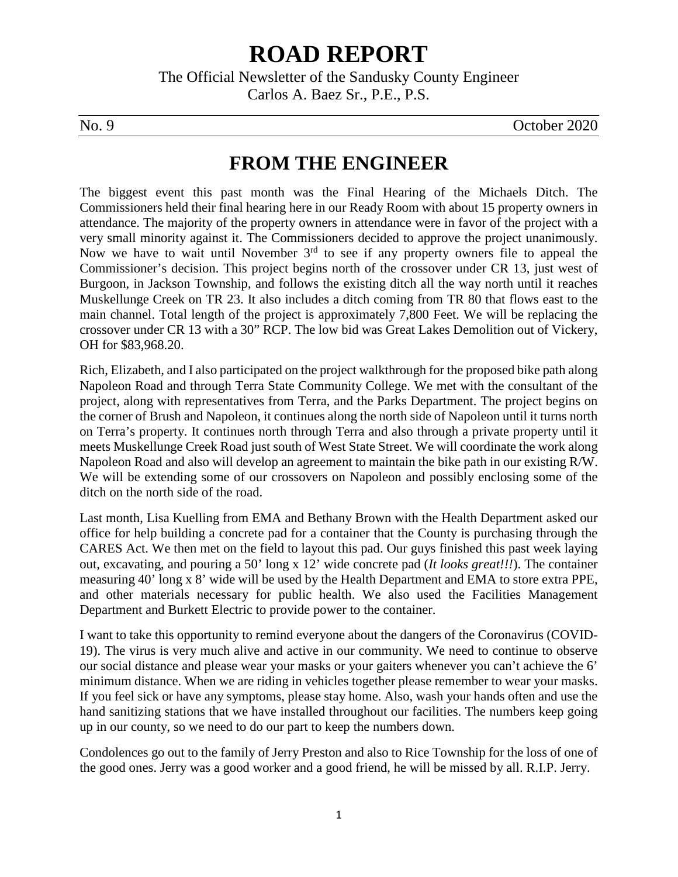# **ROAD REPORT**

The Official Newsletter of the Sandusky County Engineer Carlos A. Baez Sr., P.E., P.S.

No. 9 October 2020

# **FROM THE ENGINEER**

The biggest event this past month was the Final Hearing of the Michaels Ditch. The Commissioners held their final hearing here in our Ready Room with about 15 property owners in attendance. The majority of the property owners in attendance were in favor of the project with a very small minority against it. The Commissioners decided to approve the project unanimously. Now we have to wait until November 3<sup>rd</sup> to see if any property owners file to appeal the Commissioner's decision. This project begins north of the crossover under CR 13, just west of Burgoon, in Jackson Township, and follows the existing ditch all the way north until it reaches Muskellunge Creek on TR 23. It also includes a ditch coming from TR 80 that flows east to the main channel. Total length of the project is approximately 7,800 Feet. We will be replacing the crossover under CR 13 with a 30" RCP. The low bid was Great Lakes Demolition out of Vickery, OH for \$83,968.20.

Rich, Elizabeth, and I also participated on the project walkthrough for the proposed bike path along Napoleon Road and through Terra State Community College. We met with the consultant of the project, along with representatives from Terra, and the Parks Department. The project begins on the corner of Brush and Napoleon, it continues along the north side of Napoleon until it turns north on Terra's property. It continues north through Terra and also through a private property until it meets Muskellunge Creek Road just south of West State Street. We will coordinate the work along Napoleon Road and also will develop an agreement to maintain the bike path in our existing R/W. We will be extending some of our crossovers on Napoleon and possibly enclosing some of the ditch on the north side of the road.

Last month, Lisa Kuelling from EMA and Bethany Brown with the Health Department asked our office for help building a concrete pad for a container that the County is purchasing through the CARES Act. We then met on the field to layout this pad. Our guys finished this past week laying out, excavating, and pouring a 50' long x 12' wide concrete pad (*It looks great!!!*). The container measuring 40' long x 8' wide will be used by the Health Department and EMA to store extra PPE, and other materials necessary for public health. We also used the Facilities Management Department and Burkett Electric to provide power to the container.

I want to take this opportunity to remind everyone about the dangers of the Coronavirus (COVID-19). The virus is very much alive and active in our community. We need to continue to observe our social distance and please wear your masks or your gaiters whenever you can't achieve the 6' minimum distance. When we are riding in vehicles together please remember to wear your masks. If you feel sick or have any symptoms, please stay home. Also, wash your hands often and use the hand sanitizing stations that we have installed throughout our facilities. The numbers keep going up in our county, so we need to do our part to keep the numbers down.

Condolences go out to the family of Jerry Preston and also to Rice Township for the loss of one of the good ones. Jerry was a good worker and a good friend, he will be missed by all. R.I.P. Jerry.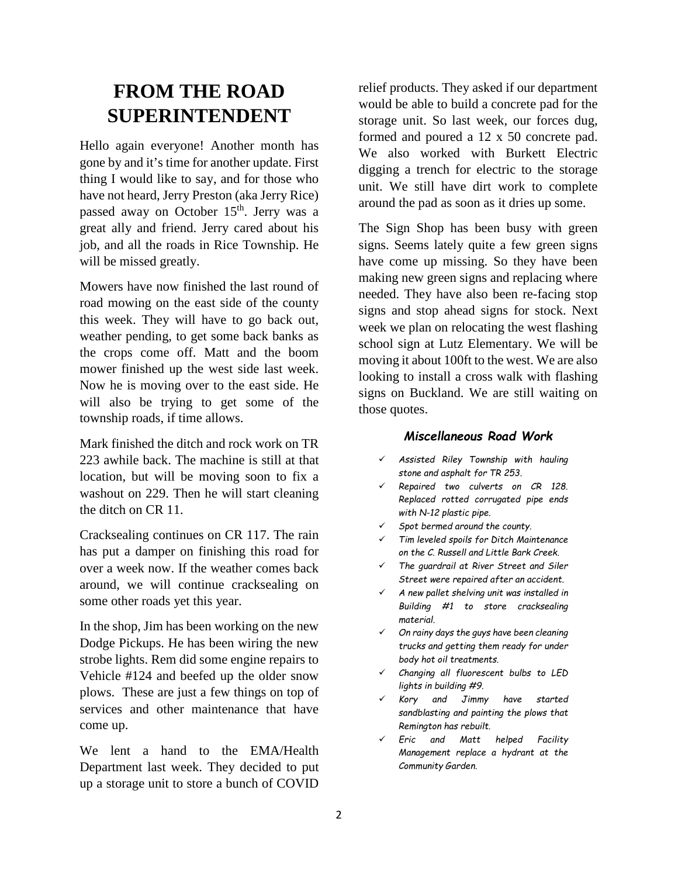# **FROM THE ROAD SUPERINTENDENT**

Hello again everyone! Another month has gone by and it's time for another update. First thing I would like to say, and for those who have not heard, Jerry Preston (aka Jerry Rice) passed away on October 15<sup>th</sup>. Jerry was a great ally and friend. Jerry cared about his job, and all the roads in Rice Township. He will be missed greatly.

Mowers have now finished the last round of road mowing on the east side of the county this week. They will have to go back out, weather pending, to get some back banks as the crops come off. Matt and the boom mower finished up the west side last week. Now he is moving over to the east side. He will also be trying to get some of the township roads, if time allows.

Mark finished the ditch and rock work on TR 223 awhile back. The machine is still at that location, but will be moving soon to fix a washout on 229. Then he will start cleaning the ditch on CR 11.

Cracksealing continues on CR 117. The rain has put a damper on finishing this road for over a week now. If the weather comes back around, we will continue cracksealing on some other roads yet this year.

In the shop, Jim has been working on the new Dodge Pickups. He has been wiring the new strobe lights. Rem did some engine repairs to Vehicle #124 and beefed up the older snow plows. These are just a few things on top of services and other maintenance that have come up.

We lent a hand to the EMA/Health Department last week. They decided to put up a storage unit to store a bunch of COVID

relief products. They asked if our department would be able to build a concrete pad for the storage unit. So last week, our forces dug, formed and poured a 12 x 50 concrete pad. We also worked with Burkett Electric digging a trench for electric to the storage unit. We still have dirt work to complete around the pad as soon as it dries up some.

The Sign Shop has been busy with green signs. Seems lately quite a few green signs have come up missing. So they have been making new green signs and replacing where needed. They have also been re-facing stop signs and stop ahead signs for stock. Next week we plan on relocating the west flashing school sign at Lutz Elementary. We will be moving it about 100ft to the west. We are also looking to install a cross walk with flashing signs on Buckland. We are still waiting on those quotes.

#### *Miscellaneous Road Work*

- *Assisted Riley Township with hauling stone and asphalt for TR 253.*
- *Repaired two culverts on CR 128. Replaced rotted corrugated pipe ends with N-12 plastic pipe.*
- *Spot bermed around the county.*
- *Tim leveled spoils for Ditch Maintenance on the C. Russell and Little Bark Creek.*
- *The guardrail at River Street and Siler Street were repaired after an accident.*
- *A new pallet shelving unit was installed in Building #1 to store cracksealing material.*
- *On rainy days the guys have been cleaning trucks and getting them ready for under body hot oil treatments.*
- *Changing all fluorescent bulbs to LED lights in building #9.*
- *Kory and Jimmy have started sandblasting and painting the plows that Remington has rebuilt.*
- *Eric and Matt helped Facility Management replace a hydrant at the Community Garden.*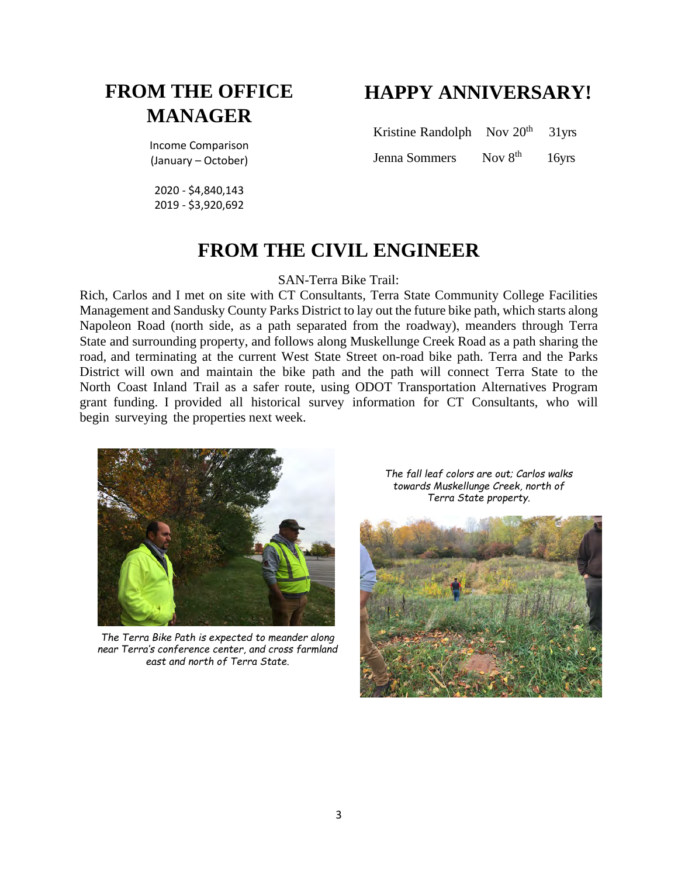# **FROM THE OFFICE MANAGER**

Income Comparison (January – October)

2020 - \$4,840,143 2019 - \$3,920,692

# **HAPPY ANNIVERSARY!**

Kristine Randolph Nov 20<sup>th</sup> 31yrs Jenna Sommers Nov 8<sup>th</sup> 16yrs

## **FROM THE CIVIL ENGINEER**

SAN-Terra Bike Trail:

Rich, Carlos and I met on site with CT Consultants, Terra State Community College Facilities Management and Sandusky County Parks District to lay out the future bike path, which starts along Napoleon Road (north side, as a path separated from the roadway), meanders through Terra State and surrounding property, and follows along Muskellunge Creek Road as a path sharing the road, and terminating at the current West State Street on-road bike path. Terra and the Parks District will own and maintain the bike path and the path will connect Terra State to the North Coast Inland Trail as a safer route, using ODOT Transportation Alternatives Program grant funding. I provided all historical survey information for CT Consultants, who will begin surveying the properties next week.



*The Terra Bike Path is expected to meander along near Terra's conference center, and cross farmland east and north of Terra State.*

*The fall leaf colors are out; Carlos walks towards Muskellunge Creek, north of Terra State property.* 

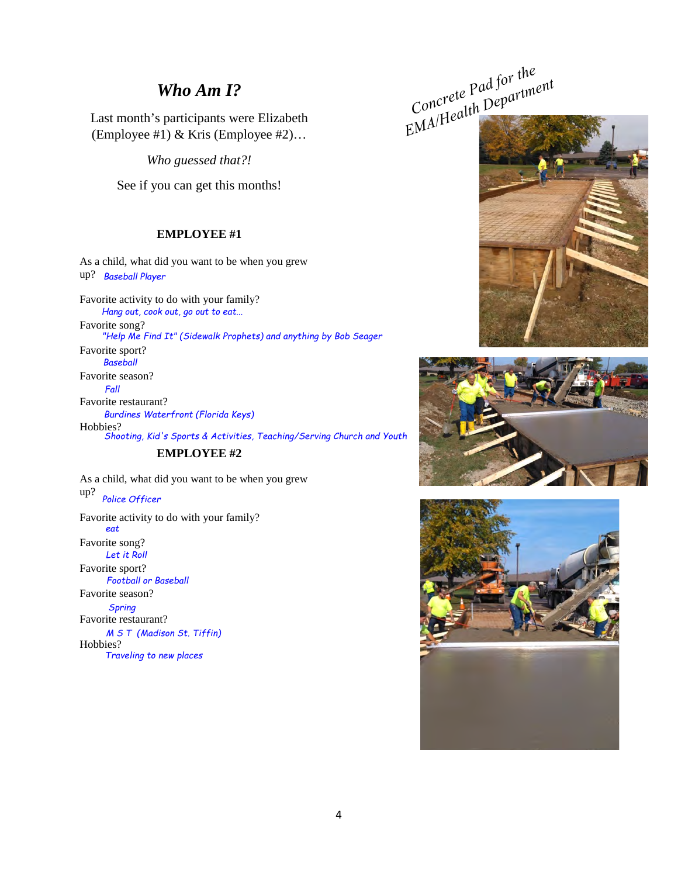### *Who Am I?*

Last month's participants were Elizabeth (Employee #1) & Kris (Employee #2)…

*Who guessed that?!* 

See if you can get this months!

#### **EMPLOYEE #1**

As a child, what did you want to be when you grew up? *Baseball Player*

Favorite activity to do with your family? Favorite song? Favorite sport? Favorite season? Favorite restaurant? Hobbies? *Hang out, cook out, go out to eat... "Help Me Find It" (Sidewalk Prophets) and anything by Bob Seager Baseball Fall Burdines Waterfront (Florida Keys) Shooting, Kid's Sports & Activities, Teaching/Serving Church and Youth*

#### **EMPLOYEE #2**

As a child, what did you want to be when you grew up? Favorite activity to do with your family? Favorite song? Favorite sport? Favorite season? Favorite restaurant? Hobbies? *Police Officer eat Let it Roll Football or Baseball Spring M S T (Madison St. Tiffin) Traveling to new places*

*Concrete Pad for the*  EMA/Health Department